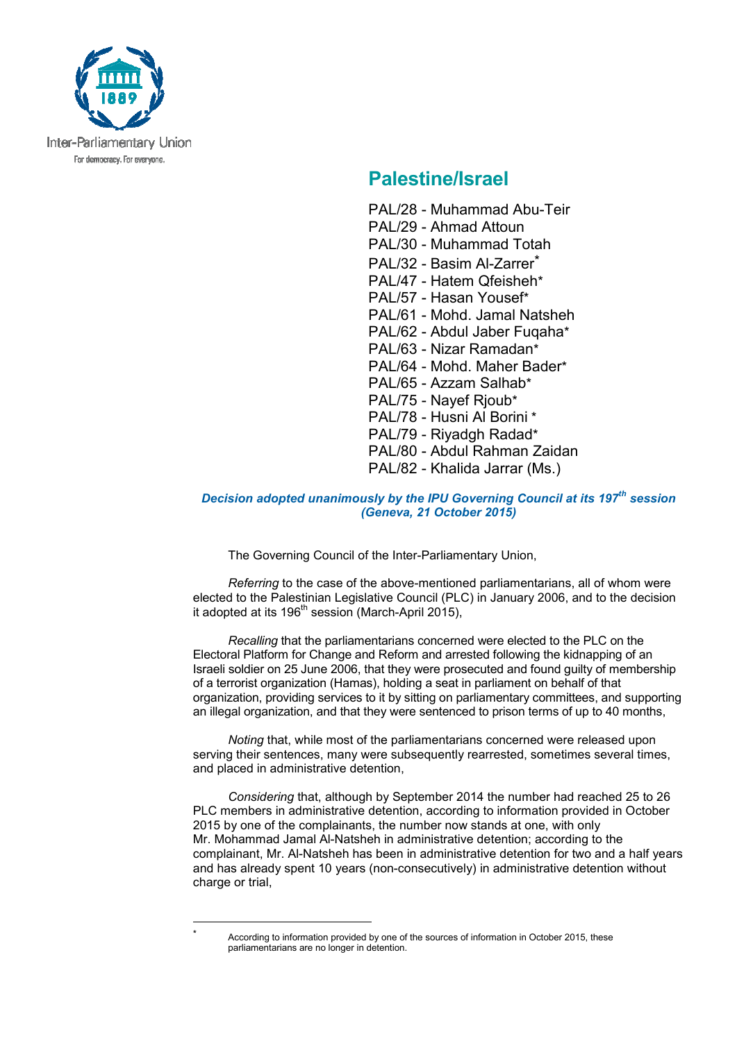

## **Palestine/Israel**

- PAL/28 Muhammad Abu-Teir
- PAL/29 Ahmad Attoun
- PAL/30 Muhammad Totah
- PAL/32 Basim Al-Zarrer<sup>\*</sup>
- PAL/47 Hatem Qfeisheh\*
- PAL/57 Hasan Yousef\*
- PAL/61 Mohd. Jamal Natsheh
- PAL/62 Abdul Jaber Fugaha\*
- PAL/63 Nizar Ramadan\*
- PAL/64 Mohd. Maher Bader\*
- PAL/65 Azzam Salhab\*
- PAL/75 Nayef Rjoub\*
- PAL/78 Husni Al Borini \*
- PAL/79 Riyadgh Radad\*
- PAL/80 Abdul Rahman Zaidan
- PAL/82 Khalida Jarrar (Ms.)

## *Decision adopted unanimously by the IPU Governing Council at its 197th session (Geneva, 21 October 2015)*

The Governing Council of the Inter-Parliamentary Union,

*Referring* to the case of the above-mentioned parliamentarians, all of whom were elected to the Palestinian Legislative Council (PLC) in January 2006, and to the decision it adopted at its  $196<sup>th</sup>$  session (March-April 2015),

*Recalling* that the parliamentarians concerned were elected to the PLC on the Electoral Platform for Change and Reform and arrested following the kidnapping of an Israeli soldier on 25 June 2006, that they were prosecuted and found guilty of membership of a terrorist organization (Hamas), holding a seat in parliament on behalf of that organization, providing services to it by sitting on parliamentary committees, and supporting an illegal organization, and that they were sentenced to prison terms of up to 40 months,

*Noting* that, while most of the parliamentarians concerned were released upon serving their sentences, many were subsequently rearrested, sometimes several times, and placed in administrative detention,

*Considering* that, although by September 2014 the number had reached 25 to 26 PLC members in administrative detention, according to information provided in October 2015 by one of the complainants, the number now stands at one, with only Mr. Mohammad Jamal Al-Natsheh in administrative detention; according to the complainant, Mr. Al-Natsheh has been in administrative detention for two and a half years and has already spent 10 years (non-consecutively) in administrative detention without charge or trial.

 $\overline{a}$ \*

According to information provided by one of the sources of information in October 2015, these parliamentarians are no longer in detention.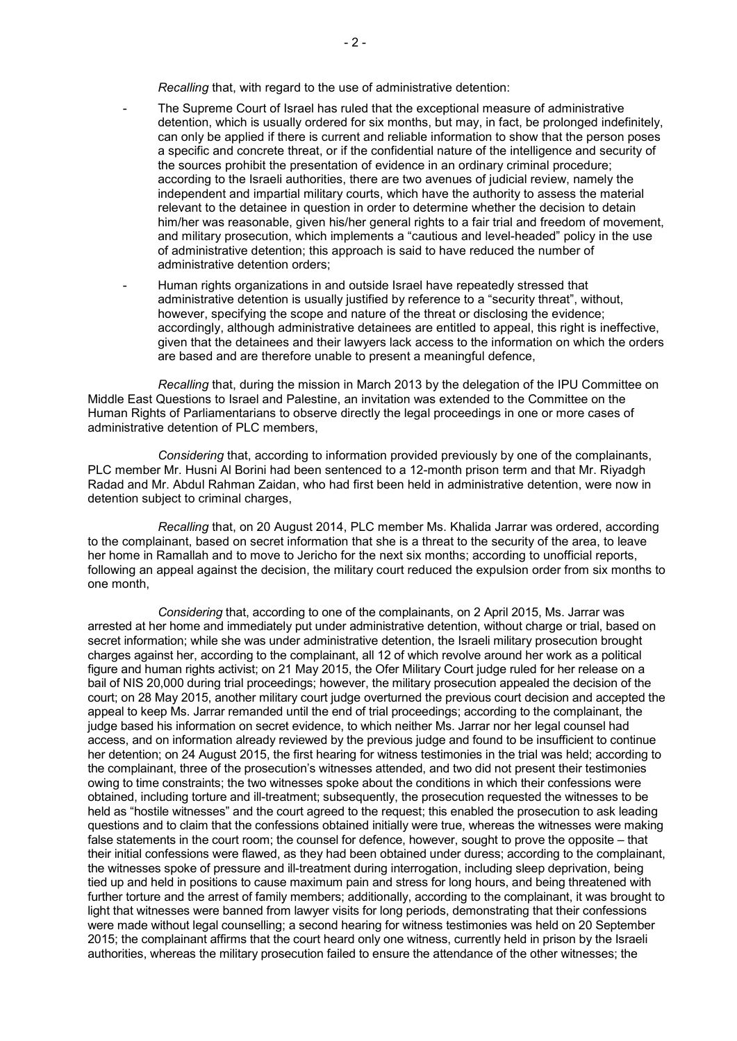*Recalling* that, with regard to the use of administrative detention:

- The Supreme Court of Israel has ruled that the exceptional measure of administrative detention, which is usually ordered for six months, but may, in fact, be prolonged indefinitely, can only be applied if there is current and reliable information to show that the person poses a specific and concrete threat, or if the confidential nature of the intelligence and security of the sources prohibit the presentation of evidence in an ordinary criminal procedure; according to the Israeli authorities, there are two avenues of judicial review, namely the independent and impartial military courts, which have the authority to assess the material relevant to the detainee in question in order to determine whether the decision to detain him/her was reasonable, given his/her general rights to a fair trial and freedom of movement, and military prosecution, which implements a "cautious and level-headed" policy in the use of administrative detention; this approach is said to have reduced the number of administrative detention orders;
- Human rights organizations in and outside Israel have repeatedly stressed that administrative detention is usually justified by reference to a "security threat", without, however, specifying the scope and nature of the threat or disclosing the evidence; accordingly, although administrative detainees are entitled to appeal, this right is ineffective, given that the detainees and their lawyers lack access to the information on which the orders are based and are therefore unable to present a meaningful defence,

 *Recalling* that, during the mission in March 2013 by the delegation of the IPU Committee on Middle East Questions to Israel and Palestine, an invitation was extended to the Committee on the Human Rights of Parliamentarians to observe directly the legal proceedings in one or more cases of administrative detention of PLC members,

*Considering* that, according to information provided previously by one of the complainants, PLC member Mr. Husni Al Borini had been sentenced to a 12-month prison term and that Mr. Riyadgh Radad and Mr. Abdul Rahman Zaidan, who had first been held in administrative detention, were now in detention subject to criminal charges,

*Recalling* that, on 20 August 2014, PLC member Ms. Khalida Jarrar was ordered, according to the complainant, based on secret information that she is a threat to the security of the area, to leave her home in Ramallah and to move to Jericho for the next six months; according to unofficial reports, following an appeal against the decision, the military court reduced the expulsion order from six months to one month,

*Considering* that, according to one of the complainants, on 2 April 2015, Ms. Jarrar was arrested at her home and immediately put under administrative detention, without charge or trial, based on secret information; while she was under administrative detention, the Israeli military prosecution brought charges against her, according to the complainant, all 12 of which revolve around her work as a political figure and human rights activist; on 21 May 2015, the Ofer Military Court judge ruled for her release on a bail of NIS 20,000 during trial proceedings; however, the military prosecution appealed the decision of the court; on 28 May 2015, another military court judge overturned the previous court decision and accepted the appeal to keep Ms. Jarrar remanded until the end of trial proceedings; according to the complainant, the judge based his information on secret evidence, to which neither Ms. Jarrar nor her legal counsel had access, and on information already reviewed by the previous judge and found to be insufficient to continue her detention; on 24 August 2015, the first hearing for witness testimonies in the trial was held; according to the complainant, three of the prosecution's witnesses attended, and two did not present their testimonies owing to time constraints; the two witnesses spoke about the conditions in which their confessions were obtained, including torture and ill-treatment; subsequently, the prosecution requested the witnesses to be held as "hostile witnesses" and the court agreed to the request; this enabled the prosecution to ask leading questions and to claim that the confessions obtained initially were true, whereas the witnesses were making false statements in the court room; the counsel for defence, however, sought to prove the opposite – that their initial confessions were flawed, as they had been obtained under duress; according to the complainant, the witnesses spoke of pressure and ill-treatment during interrogation, including sleep deprivation, being tied up and held in positions to cause maximum pain and stress for long hours, and being threatened with further torture and the arrest of family members; additionally, according to the complainant, it was brought to light that witnesses were banned from lawyer visits for long periods, demonstrating that their confessions were made without legal counselling; a second hearing for witness testimonies was held on 20 September 2015; the complainant affirms that the court heard only one witness, currently held in prison by the Israeli authorities, whereas the military prosecution failed to ensure the attendance of the other witnesses; the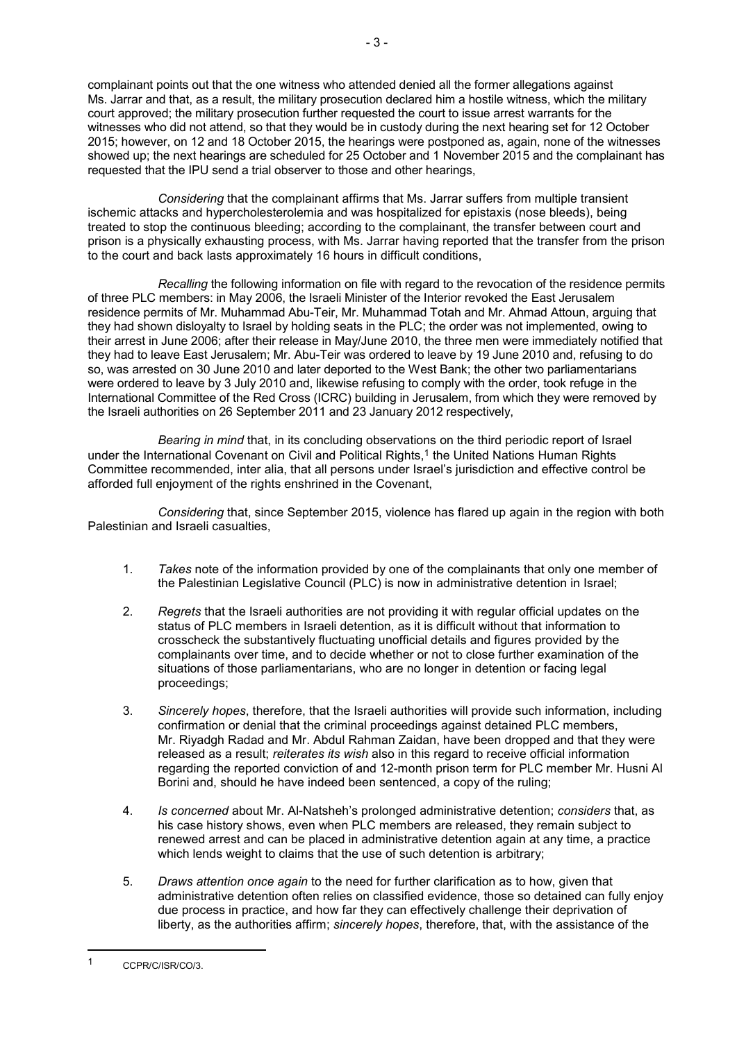complainant points out that the one witness who attended denied all the former allegations against Ms. Jarrar and that, as a result, the military prosecution declared him a hostile witness, which the military court approved; the military prosecution further requested the court to issue arrest warrants for the witnesses who did not attend, so that they would be in custody during the next hearing set for 12 October 2015; however, on 12 and 18 October 2015, the hearings were postponed as, again, none of the witnesses showed up; the next hearings are scheduled for 25 October and 1 November 2015 and the complainant has requested that the IPU send a trial observer to those and other hearings,

 *Considering* that the complainant affirms that Ms. Jarrar suffers from multiple transient ischemic attacks and hypercholesterolemia and was hospitalized for epistaxis (nose bleeds), being treated to stop the continuous bleeding; according to the complainant, the transfer between court and prison is a physically exhausting process, with Ms. Jarrar having reported that the transfer from the prison to the court and back lasts approximately 16 hours in difficult conditions,

*Recalling* the following information on file with regard to the revocation of the residence permits of three PLC members: in May 2006, the Israeli Minister of the Interior revoked the East Jerusalem residence permits of Mr. Muhammad Abu-Teir, Mr. Muhammad Totah and Mr. Ahmad Attoun, arguing that they had shown disloyalty to Israel by holding seats in the PLC; the order was not implemented, owing to their arrest in June 2006; after their release in May/June 2010, the three men were immediately notified that they had to leave East Jerusalem; Mr. Abu-Teir was ordered to leave by 19 June 2010 and, refusing to do so, was arrested on 30 June 2010 and later deported to the West Bank; the other two parliamentarians were ordered to leave by 3 July 2010 and, likewise refusing to comply with the order, took refuge in the International Committee of the Red Cross (ICRC) building in Jerusalem, from which they were removed by the Israeli authorities on 26 September 2011 and 23 January 2012 respectively,

*Bearing in mind* that, in its concluding observations on the third periodic report of Israel under the International Covenant on Civil and Political Rights.<sup>1</sup> the United Nations Human Rights Committee recommended, inter alia, that all persons under Israel's jurisdiction and effective control be afforded full enjoyment of the rights enshrined in the Covenant,

*Considering* that, since September 2015, violence has flared up again in the region with both Palestinian and Israeli casualties,

- 1. *Takes* note of the information provided by one of the complainants that only one member of the Palestinian Legislative Council (PLC) is now in administrative detention in Israel;
- 2. *Regrets* that the Israeli authorities are not providing it with regular official updates on the status of PLC members in Israeli detention, as it is difficult without that information to crosscheck the substantively fluctuating unofficial details and figures provided by the complainants over time, and to decide whether or not to close further examination of the situations of those parliamentarians, who are no longer in detention or facing legal proceedings;
- 3. *Sincerely hopes*, therefore, that the Israeli authorities will provide such information, including confirmation or denial that the criminal proceedings against detained PLC members, Mr. Riyadgh Radad and Mr. Abdul Rahman Zaidan, have been dropped and that they were released as a result; *reiterates its wish* also in this regard to receive official information regarding the reported conviction of and 12-month prison term for PLC member Mr. Husni Al Borini and, should he have indeed been sentenced, a copy of the ruling;
- 4. *Is concerned* about Mr. Al-Natsheh's prolonged administrative detention; *considers* that, as his case history shows, even when PLC members are released, they remain subject to renewed arrest and can be placed in administrative detention again at any time, a practice which lends weight to claims that the use of such detention is arbitrary;
- 5. *Draws attention once again* to the need for further clarification as to how, given that administrative detention often relies on classified evidence, those so detained can fully enjoy due process in practice, and how far they can effectively challenge their deprivation of liberty, as the authorities affirm; *sincerely hopes*, therefore, that, with the assistance of the

 $\overline{a}$ 

<sup>1</sup> CCPR/C/ISR/CO/3.